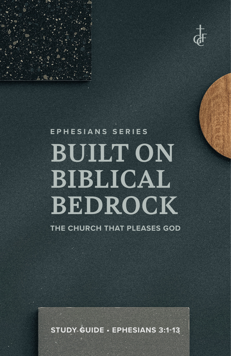

## **EPHESIANS SERIES BUILT ON BIBLICAL BEDROCK**

**Study Guide • Ephesians 3:1-13**

**THE CHURCH THAT PLEASES GOD**

1 **STUDY GUIDE • EPHESIANS 3:1-13**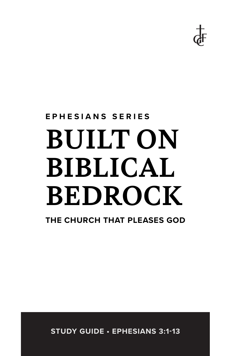

# **EPHESIANS SERIES BUILT ON BIBLICAL BEDROCK**

**THE CHURCH THAT PLEASES GOD**

**STUDY GUIDE • EPHESIANS 3:1-13**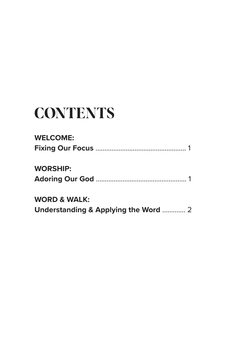## **CONTENTS**

#### **WELCOME:**

| <b>WORSHIP:</b>         |  |
|-------------------------|--|
| <b>WORD &amp; WALK:</b> |  |

**Understanding & Applying the Word** ............. 2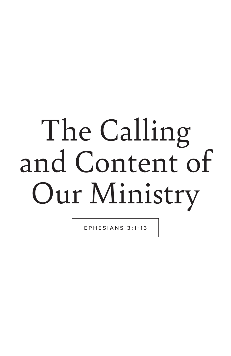# The Calling and Content of Our Ministry

EPHESIANS 3:1-13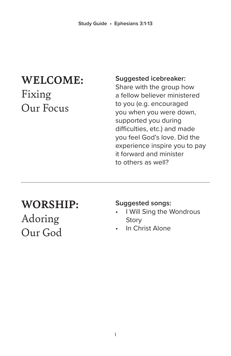## **WELCOME:**  Fixing Our Focus

#### **Suggested icebreaker:**

Share with the group how a fellow believer ministered to you (e.g. encouraged you when you were down, supported you during difficulties, etc.) and made you feel God's love. Did the experience inspire you to pay it forward and minister to others as well?

### **WORSHIP:**

Adoring Our God

#### **Suggested songs:**

- **I Will Sing the Wondrous Story**
- In Christ Alone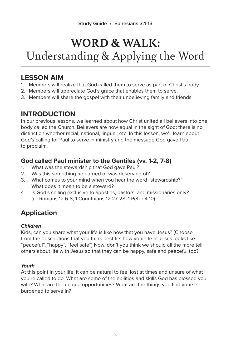#### **LESSON AIM**

- 1. Members will realize that God called them to serve as part of Christ's body.
- 2. Members will appreciate God's grace that enables them to serve.
- 3. Members will share the gospel with their unbelieving family and friends.

#### **INTRODUCTION**

In our previous lessons, we learned about how Christ united all believers into one body called the Church. Believers are now equal in the sight of God; there is no distinction whether racial, national, lingual, etc. In this lesson, we'll learn about God's calling for Paul to serve in ministry and the message God gave Paul to proclaim.

#### **God called Paul minister to the Gentiles (vv. 1-2, 7-8)**

- 1. What was the stewardship that God gave Paul?
- 2. Was this something he earned or was deserving of?
- 3. What comes to your mind when you hear the word "stewardship?" What does it mean to be a steward?
- 4. Is God's calling exclusive to apostles, pastors, and missionaries only? (cf. Romans 12:6-8; 1 Corinthians 12:27-28; 1 Peter 4:10)

#### **Application**

#### *Children*

Kids, can you share what your life is like now that you have Jesus? (Choose from the descriptions that you think best fits how your life in Jesus looks like: "peaceful", "happy", "feel safe") Now, don't you think we should all the more tell others about life with Jesus so that they can be happy, safe and peaceful too?

#### *Youth*

At this point in your life, it can be natural to feel lost at times and unsure of what you're called to do. What are some of the abilities and skills God has blessed you with? What are the unique opportunities? What are the things you find yourself burdened to serve in?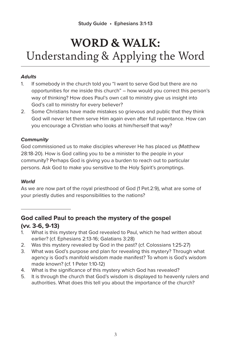#### *Adults*

- 1. If somebody in the church told you "I want to serve God but there are no opportunities for me inside this church" – how would you correct this person's way of thinking? How does Paul's own call to ministry give us insight into God's call to ministry for every believer?
- 2. Some Christians have made mistakes so grievous and public that they think God will never let them serve Him again even after full repentance. How can you encourage a Christian who looks at him/herself that way?

#### *Community*

God commissioned us to make disciples wherever He has placed us (Matthew 28:18-20). How is God calling you to be a minister to the people in your community? Perhaps God is giving you a burden to reach out to particular persons. Ask God to make you sensitive to the Holy Spirit's promptings.

#### *World*

As we are now part of the royal priesthood of God (1 Pet.2:9), what are some of your priestly duties and responsibilities to the nations?

#### **God called Paul to preach the mystery of the gospel (vv. 3-6, 9-13)**

- 1. What is this mystery that God revealed to Paul, which he had written about earlier? (cf. Ephesians 2:13-16; Galatians 3:28)
- 2. Was this mystery revealed by God in the past? (cf. Colossians 1:25-27)
- 3. What was God's purpose and plan for revealing this mystery? Through what agency is God's manifold wisdom made manifest? To whom is God's wisdom made known? (cf. 1 Peter 1:10-12)
- 4. What is the significance of this mystery which God has revealed?
- 5. It is through the church that God's wisdom is displayed to heavenly rulers and authorities. What does this tell you about the importance of the church?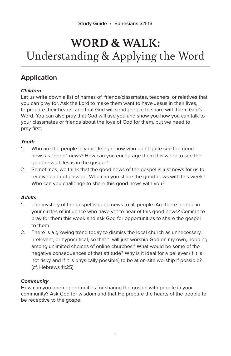#### **Application**

#### *Children*

Let us write down a list of names of friends/classmates, teachers, or relatives that you can pray for. Ask the Lord to make them want to have Jesus in their lives, to prepare their hearts, and that God will send people to share with them God's Word. You can also pray that God will use you and show you how you can talk to your classmates or friends about the love of God for them, but we need to pray first.

#### *Youth*

- 1. Who are the people in your life right now who don't quite see the good news as "good" news? How can you encourage them this week to see the goodness of Jesus in the gospel?
- 2. Sometimes, we think that the good news of the gospel is just news for us to receive and not pass on. Who can you share the good news with this week? Who can you challenge to share this good news with you?

#### *Adults*

- 1. The mystery of the gospel is good news to all people. Are there people in your circles of influence who have yet to hear of this good news? Commit to pray for them this week and ask God for opportunities to share the gospel to them.
- 2. There is a growing trend today to dismiss the local church as unnecessary, irrelevant, or hypocritical, so that "I will just worship God on my own, hopping among unlimited choices of online churches." What would be some of the negative consequences of that attitude? Why is it ideal for a believer (if it is not risky and if it is physically possible) to be at on-site worship if possible? (cf. Hebrews 11:25)

#### *Community*

How can you open opportunities for sharing the gospel with people in your community? Ask God for wisdom and that He prepare the hearts of the people to be receptive to the gospel.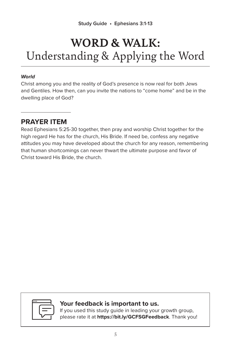#### *World*

Christ among you and the reality of God's presence is now real for both Jews and Gentiles. How then, can you invite the nations to "come home" and be in the dwelling place of God?

#### **PRAYER ITEM**

Read Ephesians 5:25-30 together, then pray and worship Christ together for the high regard He has for the church, His Bride. If need be, confess any negative attitudes you may have developed about the church for any reason, remembering that human shortcomings can never thwart the ultimate purpose and favor of Christ toward His Bride, the church.



#### **Your feedback is important to us.**

If you used this study guide in leading your growth group, please rate it at **https://bit.ly/GCFSGFeedback**. Thank you!